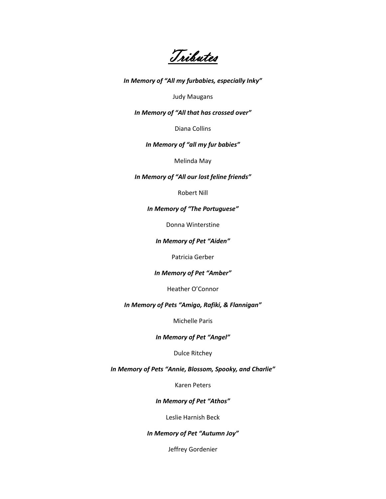Tributes

*In Memory of "All my furbabies, especially Inky"*

Judy Maugans

*In Memory of "All that has crossed over"*

Diana Collins

#### *In Memory of "all my fur babies"*

Melinda May

*In Memory of "All our lost feline friends"*

Robert Nill

# *In Memory of "The Portuguese"*

Donna Winterstine

*In Memory of Pet "Aiden"*

Patricia Gerber

#### *In Memory of Pet "Amber"*

Heather O'Connor

*In Memory of Pets "Amigo, Rafiki, & Flannigan"*

Michelle Paris

*In Memory of Pet "Angel"*

Dulce Ritchey

*In Memory of Pets "Annie, Blossom, Spooky, and Charlie"*

Karen Peters

*In Memory of Pet "Athos"*

Leslie Harnish Beck

*In Memory of Pet "Autumn Joy"*

Jeffrey Gordenier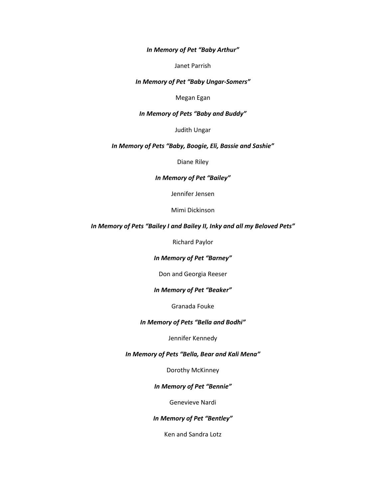*In Memory of Pet "Baby Arthur"*

Janet Parrish

*In Memory of Pet "Baby Ungar-Somers"*

Megan Egan

## *In Memory of Pets "Baby and Buddy"*

Judith Ungar

# *In Memory of Pets "Baby, Boogie, Eli, Bassie and Sashie"*

Diane Riley

#### *In Memory of Pet "Bailey"*

Jennifer Jensen

Mimi Dickinson

## *In Memory of Pets "Bailey I and Bailey II, Inky and all my Beloved Pets"*

Richard Paylor

#### *In Memory of Pet "Barney"*

Don and Georgia Reeser

#### *In Memory of Pet "Beaker"*

Granada Fouke

# *In Memory of Pets "Bella and Bodhi"*

## Jennifer Kennedy

# *In Memory of Pets "Bella, Bear and Kali Mena"*

Dorothy McKinney

# *In Memory of Pet "Bennie"*

Genevieve Nardi

## *In Memory of Pet "Bentley"*

Ken and Sandra Lotz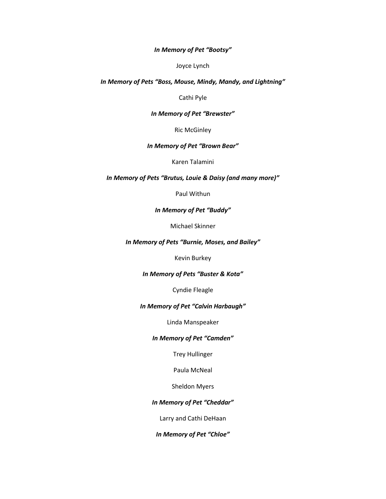## *In Memory of Pet "Bootsy"*

Joyce Lynch

### *In Memory of Pets "Boss, Mouse, Mindy, Mandy, and Lightning"*

Cathi Pyle

## *In Memory of Pet "Brewster"*

Ric McGinley

# *In Memory of Pet "Brown Bear"*

Karen Talamini

## *In Memory of Pets "Brutus, Louie & Daisy (and many more)"*

Paul Withun

# *In Memory of Pet "Buddy"*

Michael Skinner

## *In Memory of Pets "Burnie, Moses, and Bailey"*

Kevin Burkey

# *In Memory of Pets "Buster & Kota"*

Cyndie Fleagle

#### *In Memory of Pet "Calvin Harbaugh"*

Linda Manspeaker

#### *In Memory of Pet "Camden"*

Trey Hullinger

Paula McNeal

Sheldon Myers

## *In Memory of Pet "Cheddar"*

Larry and Cathi DeHaan

*In Memory of Pet "Chloe"*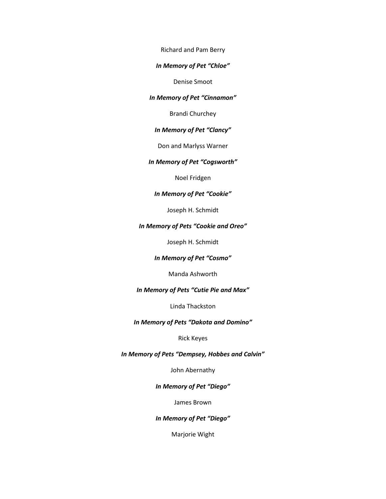Richard and Pam Berry

#### *In Memory of Pet "Chloe"*

Denise Smoot

# *In Memory of Pet "Cinnamon"*

Brandi Churchey

# *In Memory of Pet "Clancy"*

Don and Marlyss Warner

#### *In Memory of Pet "Cogsworth"*

Noel Fridgen

## *In Memory of Pet "Cookie"*

Joseph H. Schmidt

# *In Memory of Pets "Cookie and Oreo"*

Joseph H. Schmidt

# *In Memory of Pet "Cosmo"*

Manda Ashworth

### *In Memory of Pets "Cutie Pie and Max"*

Linda Thackston

# *In Memory of Pets "Dakota and Domino"*

#### Rick Keyes

# *In Memory of Pets "Dempsey, Hobbes and Calvin"*

John Abernathy

# *In Memory of Pet "Diego"*

James Brown

## *In Memory of Pet "Diego"*

Marjorie Wight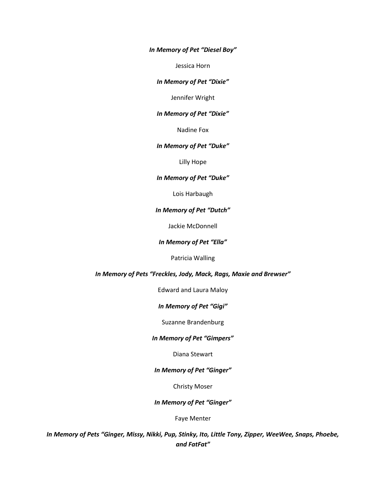*In Memory of Pet "Diesel Boy"*

Jessica Horn

*In Memory of Pet "Dixie"*

Jennifer Wright

*In Memory of Pet "Dixie"*

Nadine Fox

# *In Memory of Pet "Duke"*

Lilly Hope

#### *In Memory of Pet "Duke"*

Lois Harbaugh

#### *In Memory of Pet "Dutch"*

Jackie McDonnell

#### *In Memory of Pet "Ella"*

Patricia Walling

#### *In Memory of Pets "Freckles, Jody, Mack, Rags, Maxie and Brewser"*

Edward and Laura Maloy

## *In Memory of Pet "Gigi"*

Suzanne Brandenburg

#### *In Memory of Pet "Gimpers"*

# Diana Stewart

## *In Memory of Pet "Ginger"*

Christy Moser

## *In Memory of Pet "Ginger"*

Faye Menter

*In Memory of Pets "Ginger, Missy, Nikki, Pup, Stinky, Ito, Little Tony, Zipper, WeeWee, Snaps, Phoebe, and FatFat"*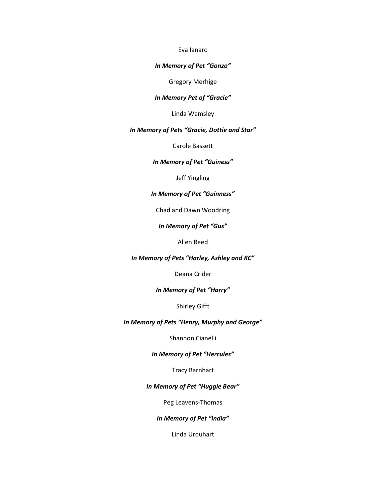#### Eva Ianaro

#### *In Memory of Pet "Gonzo"*

Gregory Merhige

# *In Memory Pet of "Gracie"*

Linda Wamsley

#### *In Memory of Pets "Gracie, Dottie and Star"*

Carole Bassett

## *In Memory of Pet "Guiness"*

Jeff Yingling

## *In Memory of Pet "Guinness"*

Chad and Dawn Woodring

## *In Memory of Pet "Gus"*

Allen Reed

## *In Memory of Pets "Harley, Ashley and KC"*

Deana Crider

## *In Memory of Pet "Harry"*

Shirley Gifft

# *In Memory of Pets "Henry, Murphy and George"*

Shannon Cianelli

# *In Memory of Pet "Hercules"*

Tracy Barnhart

# *In Memory of Pet "Huggie Bear"*

Peg Leavens-Thomas

## *In Memory of Pet "India"*

Linda Urquhart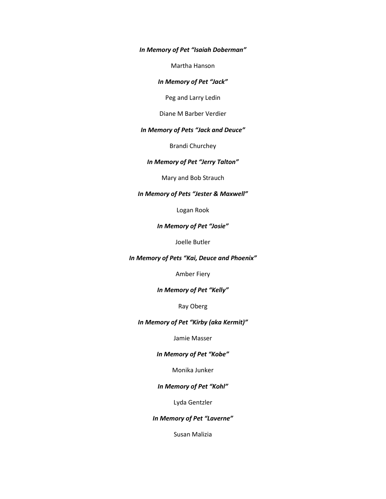*In Memory of Pet "Isaiah Doberman"*

Martha Hanson

*In Memory of Pet "Jack"*

Peg and Larry Ledin

Diane M Barber Verdier

## *In Memory of Pets "Jack and Deuce"*

Brandi Churchey

## *In Memory of Pet "Jerry Talton"*

Mary and Bob Strauch

## *In Memory of Pets "Jester & Maxwell"*

Logan Rook

# *In Memory of Pet "Josie"*

Joelle Butler

*In Memory of Pets "Kai, Deuce and Phoenix"*

Amber Fiery

### *In Memory of Pet "Kelly"*

Ray Oberg

# *In Memory of Pet "Kirby (aka Kermit)"*

Jamie Masser

# *In Memory of Pet "Kobe"*

Monika Junker

## *In Memory of Pet "Kohl"*

Lyda Gentzler

## *In Memory of Pet "Laverne"*

Susan Malizia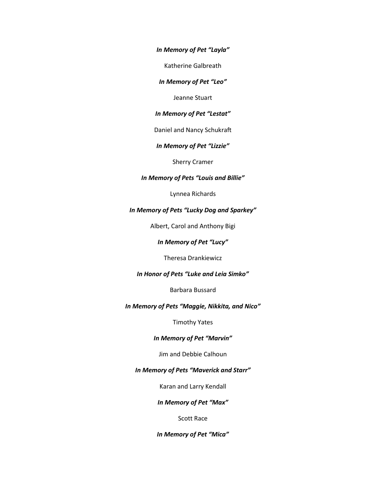*In Memory of Pet "Layla"*

Katherine Galbreath

*In Memory of Pet "Leo"*

Jeanne Stuart

*In Memory of Pet "Lestat"*

Daniel and Nancy Schukraft

*In Memory of Pet "Lizzie"*

Sherry Cramer

#### *In Memory of Pets "Louis and Billie"*

Lynnea Richards

## *In Memory of Pets "Lucky Dog and Sparkey"*

Albert, Carol and Anthony Bigi

*In Memory of Pet "Lucy"*

Theresa Drankiewicz

# *In Honor of Pets "Luke and Leia Simko"*

Barbara Bussard

# *In Memory of Pets "Maggie, Nikkita, and Nico"*

Timothy Yates

#### *In Memory of Pet "Marvin"*

Jim and Debbie Calhoun

# *In Memory of Pets "Maverick and Starr"*

Karan and Larry Kendall

*In Memory of Pet "Max"*

Scott Race

*In Memory of Pet "Mica"*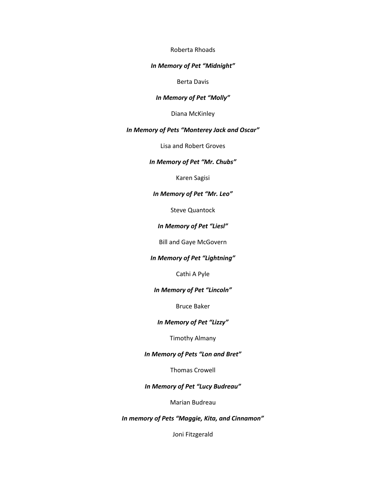#### Roberta Rhoads

#### *In Memory of Pet "Midnight"*

Berta Davis

## *In Memory of Pet "Molly"*

Diana McKinley

#### *In Memory of Pets "Monterey Jack and Oscar"*

Lisa and Robert Groves

## *In Memory of Pet "Mr. Chubs"*

Karen Sagisi

## *In Memory of Pet "Mr. Leo"*

Steve Quantock

## *In Memory of Pet "Liesl"*

Bill and Gaye McGovern

## *In Memory of Pet "Lightning"*

Cathi A Pyle

## *In Memory of Pet "Lincoln"*

Bruce Baker

# *In Memory of Pet "Lizzy"*

## Timothy Almany

# *In Memory of Pets "Lon and Bret"*

Thomas Crowell

# *In Memory of Pet "Lucy Budreau"*

Marian Budreau

## *In memory of Pets "Maggie, Kita, and Cinnamon"*

Joni Fitzgerald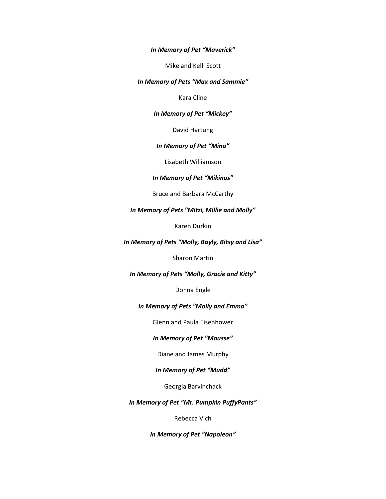*In Memory of Pet "Maverick"*

Mike and Kelli Scott

*In Memory of Pets "Max and Sammie"*

Kara Cline

*In Memory of Pet "Mickey"*

David Hartung

*In Memory of Pet "Mina"*

Lisabeth Williamson

# *In Memory of Pet "Mikinos"*

Bruce and Barbara McCarthy

*In Memory of Pets "Mitzi, Millie and Molly"*

Karen Durkin

*In Memory of Pets "Molly, Bayly, Bitsy and Lisa"*

Sharon Martin

*In Memory of Pets "Molly, Gracie and Kitty"*

Donna Engle

*In Memory of Pets "Molly and Emma"*

Glenn and Paula Eisenhower

# *In Memory of Pet "Mousse"*

Diane and James Murphy

*In Memory of Pet "Mudd"*

Georgia Barvinchack

*In Memory of Pet "Mr. Pumpkin PuffyPants"*

Rebecca Vich

*In Memory of Pet "Napoleon"*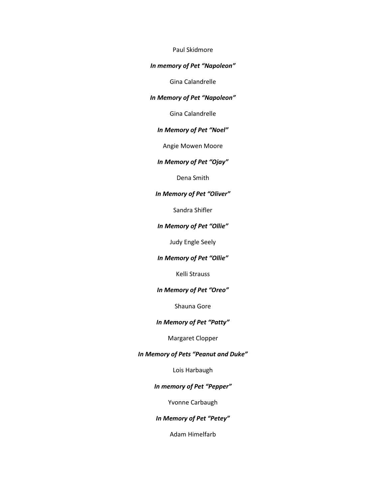## Paul Skidmore

# *In memory of Pet "Napoleon"*

Gina Calandrelle

# *In Memory of Pet "Napoleon"*

Gina Calandrelle

# *In Memory of Pet "Noel"*

Angie Mowen Moore

## *In Memory of Pet "Ojay"*

Dena Smith

## *In Memory of Pet "Oliver"*

Sandra Shifler

## *In Memory of Pet "Ollie"*

Judy Engle Seely

# *In Memory of Pet "Ollie"*

Kelli Strauss

#### *In Memory of Pet "Oreo"*

Shauna Gore

# *In Memory of Pet "Patty"*

Margaret Clopper

## *In Memory of Pets "Peanut and Duke"*

Lois Harbaugh

# *In memory of Pet "Pepper"*

Yvonne Carbaugh

## *In Memory of Pet "Petey"*

Adam Himelfarb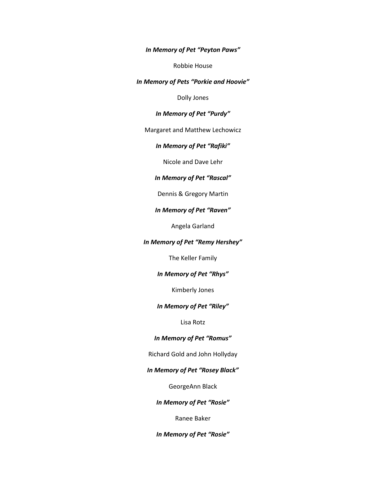*In Memory of Pet "Peyton Paws"*

Robbie House

*In Memory of Pets "Porkie and Hoovie"*

Dolly Jones

## *In Memory of Pet "Purdy"*

## Margaret and Matthew Lechowicz

# *In Memory of Pet "Rafiki"*

Nicole and Dave Lehr

# *In Memory of Pet "Rascal"*

## Dennis & Gregory Martin

#### *In Memory of Pet "Raven"*

Angela Garland

## *In Memory of Pet "Remy Hershey"*

The Keller Family

# *In Memory of Pet "Rhys"*

Kimberly Jones

#### *In Memory of Pet "Riley"*

Lisa Rotz

## *In Memory of Pet "Romus"*

Richard Gold and John Hollyday

# *In Memory of Pet "Rosey Black"*

GeorgeAnn Black

## *In Memory of Pet "Rosie"*

Ranee Baker

*In Memory of Pet "Rosie"*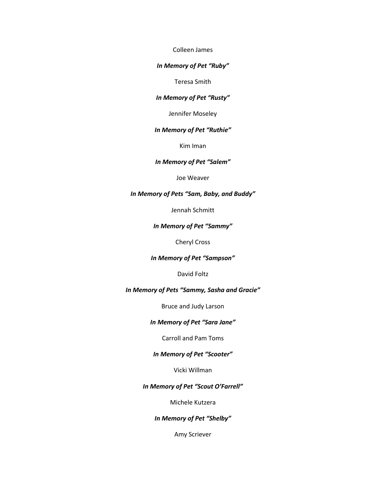Colleen James

#### *In Memory of Pet "Ruby"*

Teresa Smith

## *In Memory of Pet "Rusty"*

Jennifer Moseley

#### *In Memory of Pet "Ruthie"*

Kim Iman

## *In Memory of Pet "Salem"*

Joe Weaver

## *In Memory of Pets "Sam, Baby, and Buddy"*

Jennah Schmitt

# *In Memory of Pet "Sammy"*

Cheryl Cross

#### *In Memory of Pet "Sampson"*

David Foltz

## *In Memory of Pets "Sammy, Sasha and Gracie"*

Bruce and Judy Larson

# *In Memory of Pet "Sara Jane"*

# Carroll and Pam Toms

# *In Memory of Pet "Scooter"*

Vicki Willman

# *In Memory of Pet "Scout O'Farrell"*

Michele Kutzera

## *In Memory of Pet "Shelby"*

Amy Scriever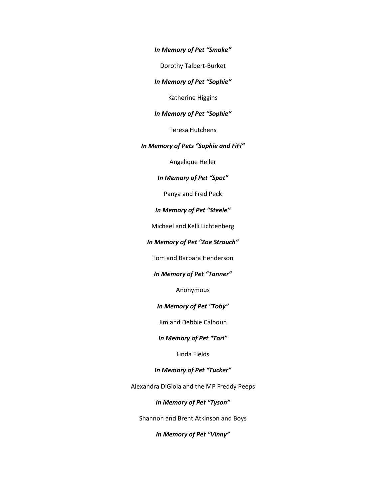*In Memory of Pet "Smoke"*

Dorothy Talbert-Burket

*In Memory of Pet "Sophie"*

Katherine Higgins

## *In Memory of Pet "Sophie"*

Teresa Hutchens

# *In Memory of Pets "Sophie and FiFi"*

Angelique Heller

## *In Memory of Pet "Spot"*

Panya and Fred Peck

## *In Memory of Pet "Steele"*

Michael and Kelli Lichtenberg

## *In Memory of Pet "Zoe Strauch"*

Tom and Barbara Henderson

# *In Memory of Pet "Tanner"*

Anonymous

## *In Memory of Pet "Toby"*

Jim and Debbie Calhoun

## *In Memory of Pet "Tori"*

Linda Fields

# *In Memory of Pet "Tucker"*

Alexandra DiGioia and the MP Freddy Peeps

#### *In Memory of Pet "Tyson"*

Shannon and Brent Atkinson and Boys

# *In Memory of Pet "Vinny"*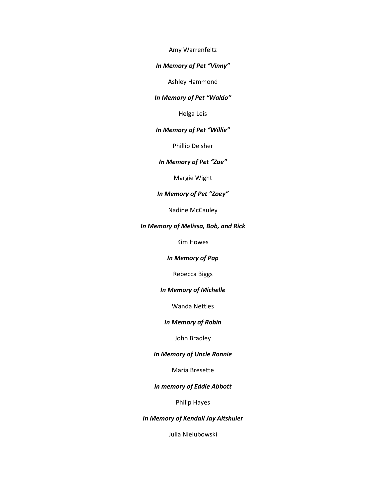Amy Warrenfeltz

#### *In Memory of Pet "Vinny"*

Ashley Hammond

## *In Memory of Pet "Waldo"*

Helga Leis

## *In Memory of Pet "Willie"*

Phillip Deisher

## *In Memory of Pet "Zoe"*

Margie Wight

## *In Memory of Pet "Zoey"*

Nadine McCauley

# *In Memory of Melissa, Bob, and Rick*

Kim Howes

*In Memory of Pap*

Rebecca Biggs

## *In Memory of Michelle*

Wanda Nettles

## *In Memory of Robin*

## John Bradley

## *In Memory of Uncle Ronnie*

Maria Bresette

# *In memory of Eddie Abbott*

Philip Hayes

## *In Memory of Kendall Jay Altshuler*

Julia Nielubowski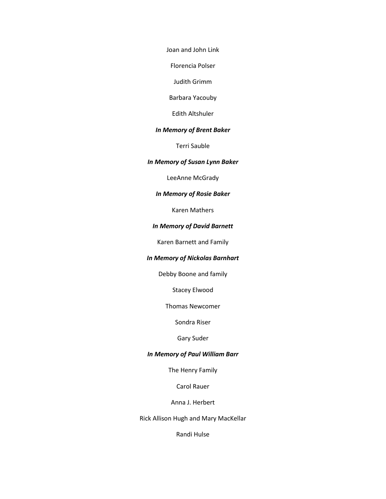Joan and John Link

Florencia Polser

Judith Grimm

Barbara Yacouby

Edith Altshuler

#### *In Memory of Brent Baker*

Terri Sauble

## *In Memory of Susan Lynn Baker*

LeeAnne McGrady

## *In Memory of Rosie Baker*

Karen Mathers

# *In Memory of David Barnett*

Karen Barnett and Family

## *In Memory of Nickolas Barnhart*

Debby Boone and family

Stacey Elwood

Thomas Newcomer

Sondra Riser

# Gary Suder

## *In Memory of Paul William Barr*

The Henry Family

Carol Rauer

Anna J. Herbert

Rick Allison Hugh and Mary MacKellar

Randi Hulse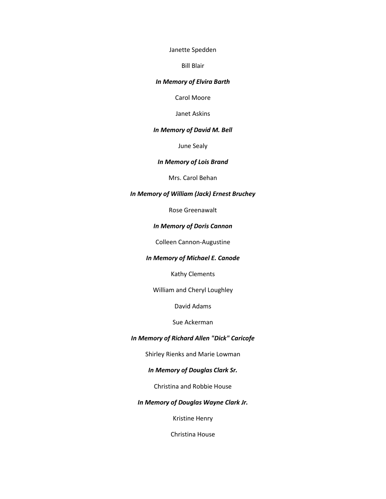Janette Spedden

Bill Blair

## *In Memory of Elvira Barth*

Carol Moore

Janet Askins

#### *In Memory of David M. Bell*

June Sealy

## *In Memory of Lois Brand*

Mrs. Carol Behan

# *In Memory of William (Jack) Ernest Bruchey*

Rose Greenawalt

## *In Memory of Doris Cannon*

Colleen Cannon-Augustine

# *In Memory of Michael E. Canode*

Kathy Clements

William and Cheryl Loughley

David Adams

# Sue Ackerman

## *In Memory of Richard Allen "Dick" Caricofe*

Shirley Rienks and Marie Lowman

# *In Memory of Douglas Clark Sr.*

Christina and Robbie House

## *In Memory of Douglas Wayne Clark Jr.*

Kristine Henry

Christina House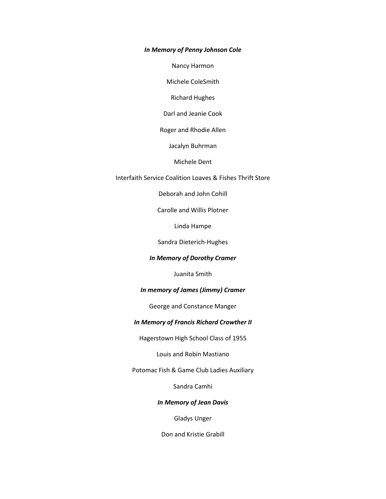### *In Memory of Penny Johnson Cole*

Nancy Harmon

Michele ColeSmith

Richard Hughes

Darl and Jeanie Cook

Roger and Rhodie Allen

Jacalyn Buhrman

Michele Dent

Interfaith Service Coalition Loaves & Fishes Thrift Store

Deborah and John Cohill

Carolle and Willis Plotner

Linda Hampe

Sandra Dieterich-Hughes

## *In Memory of Dorothy Cramer*

Juanita Smith

## *In memory of James (Jimmy) Cramer*

George and Constance Manger

## *In Memory of Francis Richard Crowther II*

Hagerstown High School Class of 1955

Louis and Robin Mastiano

Potomac Fish & Game Club Ladies Auxiliary

Sandra Camhi

# *In Memory of Jean Davis*

Gladys Unger

Don and Kristie Grabill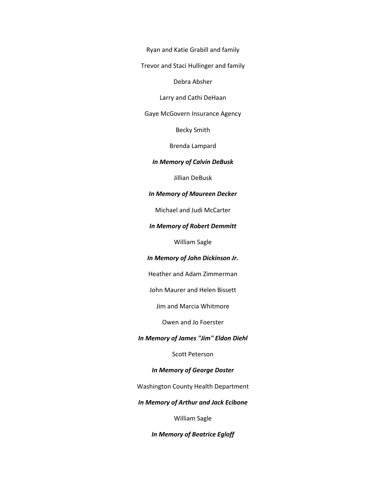Ryan and Katie Grabill and family

Trevor and Staci Hullinger and family

Debra Absher

Larry and Cathi DeHaan

Gaye McGovern Insurance Agency

Becky Smith

Brenda Lampard

*In Memory of Calvin DeBusk*

Jillian DeBusk

*In Memory of Maureen Decker*

Michael and Judi McCarter

*In Memory of Robert Demmitt*

William Sagle

#### *In Memory of John Dickinson Jr.*

Heather and Adam Zimmerman

John Maurer and Helen Bissett

Jim and Marcia Whitmore

Owen and Jo Foerster

*In Memory of James "Jim" Eldon Diehl*

Scott Peterson

*In Memory of George Doster*

Washington County Health Department

*In Memory of Arthur and Jack Ecibone*

William Sagle

*In Memory of Beatrice Egloff*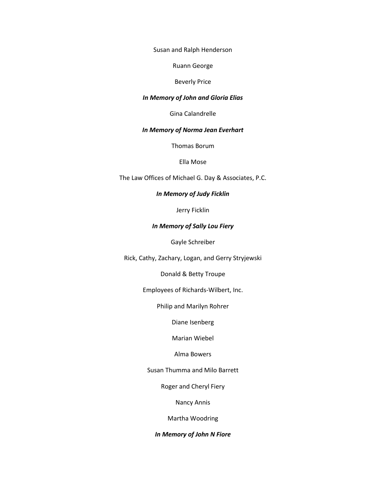Susan and Ralph Henderson

Ruann George

#### Beverly Price

#### *In Memory of John and Gloria Elias*

Gina Calandrelle

#### *In Memory of Norma Jean Everhart*

Thomas Borum

Ella Mose

The Law Offices of Michael G. Day & Associates, P.C.

## *In Memory of Judy Ficklin*

Jerry Ficklin

#### *In Memory of Sally Lou Fiery*

Gayle Schreiber

Rick, Cathy, Zachary, Logan, and Gerry Stryjewski

Donald & Betty Troupe

Employees of Richards-Wilbert, Inc.

Philip and Marilyn Rohrer

Diane Isenberg

Marian Wiebel

# Alma Bowers

Susan Thumma and Milo Barrett

Roger and Cheryl Fiery

Nancy Annis

Martha Woodring

# *In Memory of John N Fiore*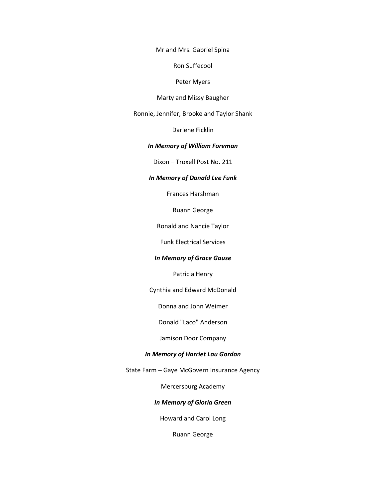Mr and Mrs. Gabriel Spina

Ron Suffecool

Peter Myers

Marty and Missy Baugher

Ronnie, Jennifer, Brooke and Taylor Shank

Darlene Ficklin

#### *In Memory of William Foreman*

Dixon – Troxell Post No. 211

## *In Memory of Donald Lee Funk*

Frances Harshman

Ruann George

Ronald and Nancie Taylor

Funk Electrical Services

## *In Memory of Grace Gause*

Patricia Henry

Cynthia and Edward McDonald

Donna and John Weimer

Donald "Laco" Anderson

Jamison Door Company

## *In Memory of Harriet Lou Gordon*

State Farm – Gaye McGovern Insurance Agency

Mercersburg Academy

## *In Memory of Gloria Green*

Howard and Carol Long

Ruann George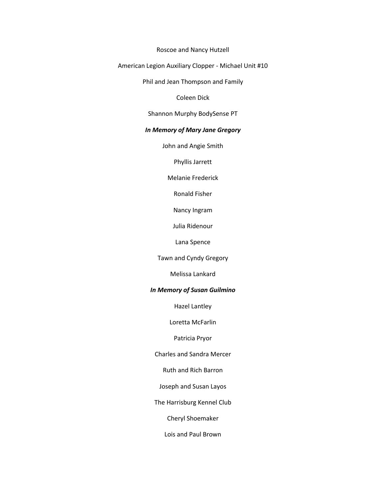#### Roscoe and Nancy Hutzell

# American Legion Auxiliary Clopper - Michael Unit #10

Phil and Jean Thompson and Family

Coleen Dick

## Shannon Murphy BodySense PT

# *In Memory of Mary Jane Gregory*

John and Angie Smith

Phyllis Jarrett

Melanie Frederick

Ronald Fisher

Nancy Ingram

Julia Ridenour

Lana Spence

Tawn and Cyndy Gregory

Melissa Lankard

## *In Memory of Susan Guilmino*

Hazel Lantley

Loretta McFarlin

## Patricia Pryor

Charles and Sandra Mercer

Ruth and Rich Barron

Joseph and Susan Layos

The Harrisburg Kennel Club

Cheryl Shoemaker

Lois and Paul Brown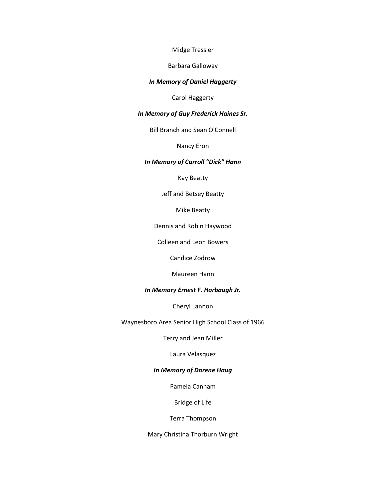## Midge Tressler

# Barbara Galloway

## *In Memory of Daniel Haggerty*

Carol Haggerty

## *In Memory of Guy Frederick Haines Sr.*

Bill Branch and Sean O'Connell

Nancy Eron

## *In Memory of Carroll "Dick" Hann*

Kay Beatty

Jeff and Betsey Beatty

Mike Beatty

Dennis and Robin Haywood

Colleen and Leon Bowers

Candice Zodrow

Maureen Hann

## *In Memory Ernest F. Harbaugh Jr.*

Cheryl Lannon

Waynesboro Area Senior High School Class of 1966

Terry and Jean Miller

Laura Velasquez

# *In Memory of Dorene Haug*

Pamela Canham

Bridge of Life

Terra Thompson

Mary Christina Thorburn Wright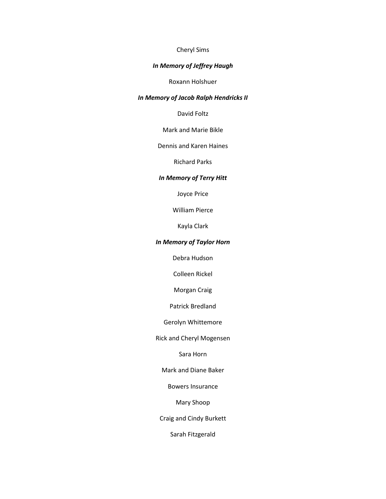# Cheryl Sims

# *In Memory of Jeffrey Haugh*

Roxann Holshuer

# *In Memory of Jacob Ralph Hendricks II*

David Foltz

Mark and Marie Bikle

Dennis and Karen Haines

Richard Parks

## *In Memory of Terry Hitt*

Joyce Price

William Pierce

Kayla Clark

## *In Memory of Taylor Horn*

Debra Hudson

Colleen Rickel

Morgan Craig

Patrick Bredland

Gerolyn Whittemore

Rick and Cheryl Mogensen

Sara Horn

Mark and Diane Baker

Bowers Insurance

Mary Shoop

Craig and Cindy Burkett

Sarah Fitzgerald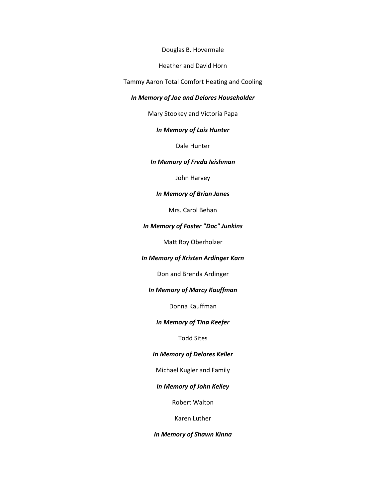Douglas B. Hovermale

Heather and David Horn

Tammy Aaron Total Comfort Heating and Cooling

#### *In Memory of Joe and Delores Householder*

Mary Stookey and Victoria Papa

## *In Memory of Lois Hunter*

Dale Hunter

#### *In Memory of Freda Ieishman*

John Harvey

## *In Memory of Brian Jones*

Mrs. Carol Behan

# *In Memory of Foster "Doc" Junkins*

Matt Roy Oberholzer

## *In Memory of Kristen Ardinger Karn*

Don and Brenda Ardinger

## *In Memory of Marcy Kauffman*

Donna Kauffman

# *In Memory of Tina Keefer*

# Todd Sites

## *In Memory of Delores Keller*

Michael Kugler and Family

# *In Memory of John Kelley*

Robert Walton

Karen Luther

#### *In Memory of Shawn Kinna*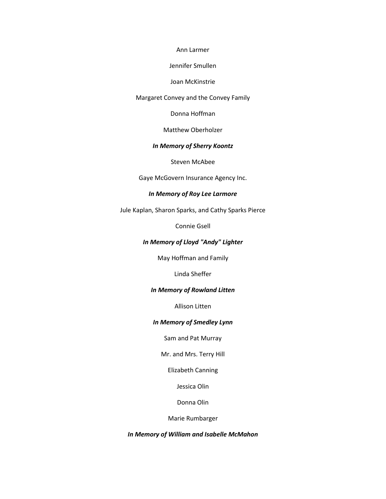#### Ann Larmer

#### Jennifer Smullen

#### Joan McKinstrie

#### Margaret Convey and the Convey Family

Donna Hoffman

#### Matthew Oberholzer

#### *In Memory of Sherry Koontz*

Steven McAbee

Gaye McGovern Insurance Agency Inc.

## *In Memory of Roy Lee Larmore*

Jule Kaplan, Sharon Sparks, and Cathy Sparks Pierce

Connie Gsell

## *In Memory of Lloyd "Andy" Lighter*

May Hoffman and Family

Linda Sheffer

## *In Memory of Rowland Litten*

Allison Litten

## *In Memory of Smedley Lynn*

Sam and Pat Murray

Mr. and Mrs. Terry Hill

Elizabeth Canning

Jessica Olin

Donna Olin

Marie Rumbarger

*In Memory of William and Isabelle McMahon*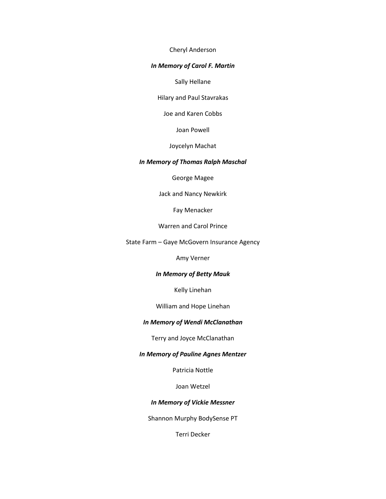Cheryl Anderson

#### *In Memory of Carol F. Martin*

Sally Hellane

Hilary and Paul Stavrakas

Joe and Karen Cobbs

Joan Powell

Joycelyn Machat

## *In Memory of Thomas Ralph Maschal*

George Magee

Jack and Nancy Newkirk

Fay Menacker

Warren and Carol Prince

State Farm – Gaye McGovern Insurance Agency

Amy Verner

# *In Memory of Betty Mauk*

Kelly Linehan

William and Hope Linehan

# *In Memory of Wendi McClanathan*

Terry and Joyce McClanathan

#### *In Memory of Pauline Agnes Mentzer*

Patricia Nottle

Joan Wetzel

## *In Memory of Vickie Messner*

Shannon Murphy BodySense PT

Terri Decker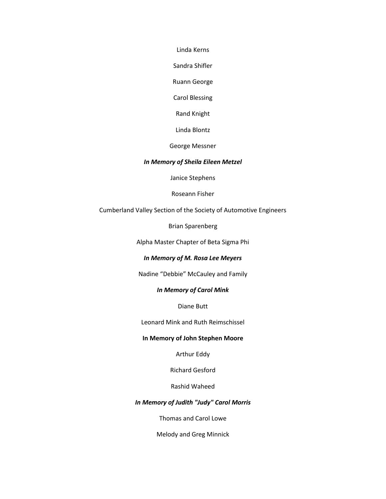Linda Kerns

Sandra Shifler

Ruann George

Carol Blessing

Rand Knight

Linda Blontz

George Messner

## *In Memory of Sheila Eileen Metzel*

Janice Stephens

Roseann Fisher

Cumberland Valley Section of the Society of Automotive Engineers

Brian Sparenberg

Alpha Master Chapter of Beta Sigma Phi

# *In Memory of M. Rosa Lee Meyers*

Nadine "Debbie" McCauley and Family

## *In Memory of Carol Mink*

Diane Butt

Leonard Mink and Ruth Reimschissel

## **In Memory of John Stephen Moore**

Arthur Eddy

Richard Gesford

Rashid Waheed

# *In Memory of Judith "Judy" Carol Morris*

Thomas and Carol Lowe

Melody and Greg Minnick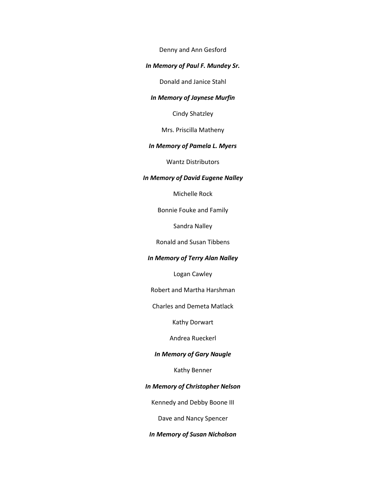Denny and Ann Gesford

## *In Memory of Paul F. Mundey Sr.*

Donald and Janice Stahl

## *In Memory of Jaynese Murfin*

Cindy Shatzley

Mrs. Priscilla Matheny

#### *In Memory of Pamela L. Myers*

Wantz Distributors

## *In Memory of David Eugene Nalley*

Michelle Rock

Bonnie Fouke and Family

Sandra Nalley

Ronald and Susan Tibbens

# *In Memory of Terry Alan Nalley*

Logan Cawley

Robert and Martha Harshman

Charles and Demeta Matlack

Kathy Dorwart

Andrea Rueckerl

## *In Memory of Gary Naugle*

Kathy Benner

# *In Memory of Christopher Nelson*

Kennedy and Debby Boone III

Dave and Nancy Spencer

*In Memory of Susan Nicholson*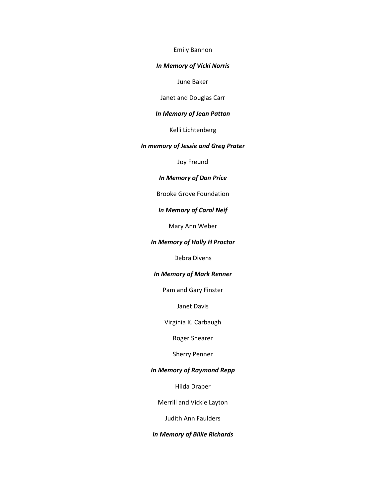#### Emily Bannon

#### *In Memory of Vicki Norris*

June Baker

Janet and Douglas Carr

# *In Memory of Jean Patton*

Kelli Lichtenberg

# *In memory of Jessie and Greg Prater*

Joy Freund

## *In Memory of Don Price*

Brooke Grove Foundation

# *In Memory of Carol Neif*

Mary Ann Weber

#### *In Memory of Holly H Proctor*

Debra Divens

#### *In Memory of Mark Renner*

Pam and Gary Finster

Janet Davis

Virginia K. Carbaugh

Roger Shearer

Sherry Penner

# *In Memory of Raymond Repp*

Hilda Draper

Merrill and Vickie Layton

Judith Ann Faulders

## *In Memory of Billie Richards*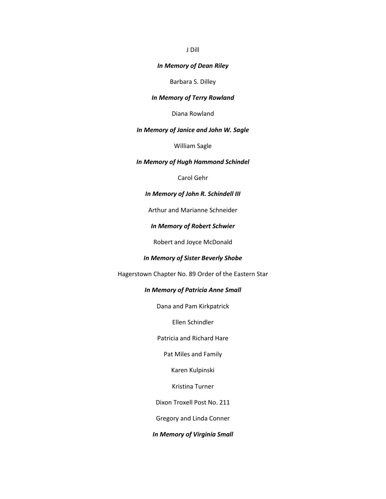#### J Dill

#### *In Memory of Dean Riley*

Barbara S. Dilley

#### *In Memory of Terry Rowland*

Diana Rowland

## *In Memory of Janice and John W. Sagle*

William Sagle

#### *In Memory of Hugh Hammond Schindel*

Carol Gehr

## *In Memory of John R. Schindell III*

Arthur and Marianne Schneider

#### *In Memory of Robert Schwier*

Robert and Joyce McDonald

# *In Memory of Sister Beverly Shobe*

Hagerstown Chapter No. 89 Order of the Eastern Star

## *In Memory of Patricia Anne Small*

Dana and Pam Kirkpatrick

Ellen Schindler

Patricia and Richard Hare

Pat Miles and Family

Karen Kulpinski

Kristina Turner

Dixon Troxell Post No. 211

Gregory and Linda Conner

# *In Memory of Virginia Small*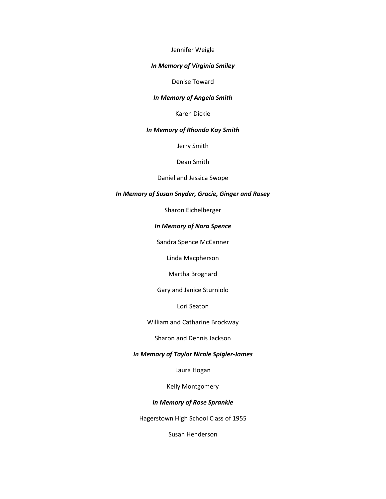### Jennifer Weigle

#### *In Memory of Virginia Smiley*

#### Denise Toward

#### *In Memory of Angela Smith*

Karen Dickie

#### *In Memory of Rhonda Kay Smith*

Jerry Smith

#### Dean Smith

## Daniel and Jessica Swope

## *In Memory of Susan Snyder, Gracie, Ginger and Rosey*

Sharon Eichelberger

# *In Memory of Nora Spence*

Sandra Spence McCanner

Linda Macpherson

Martha Brognard

Gary and Janice Sturniolo

Lori Seaton

William and Catharine Brockway

Sharon and Dennis Jackson

#### *In Memory of Taylor Nicole Spigler-James*

Laura Hogan

Kelly Montgomery

# *In Memory of Rose Sprankle*

Hagerstown High School Class of 1955

Susan Henderson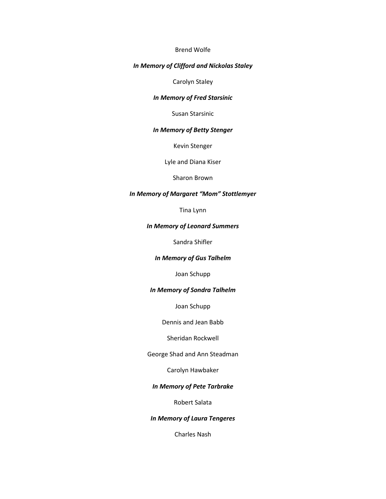### Brend Wolfe

## *In Memory of Clifford and Nickolas Staley*

Carolyn Staley

#### *In Memory of Fred Starsinic*

Susan Starsinic

#### *In Memory of Betty Stenger*

Kevin Stenger

Lyle and Diana Kiser

Sharon Brown

## *In Memory of Margaret "Mom" Stottlemyer*

Tina Lynn

#### *In Memory of Leonard Summers*

Sandra Shifler

# *In Memory of Gus Talhelm*

Joan Schupp

## *In Memory of Sondra Talhelm*

Joan Schupp

Dennis and Jean Babb

Sheridan Rockwell

George Shad and Ann Steadman

Carolyn Hawbaker

# *In Memory of Pete Tarbrake*

Robert Salata

## *In Memory of Laura Tengeres*

Charles Nash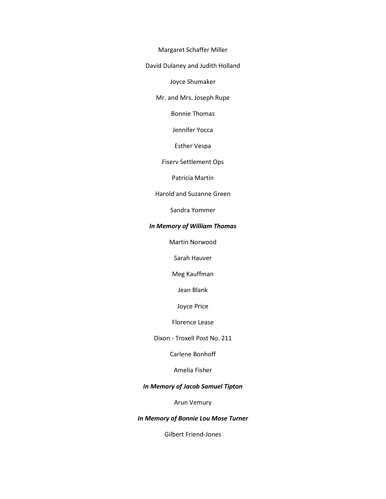Margaret Schaffer Miller

David Dulaney and Judith Holland

Joyce Shumaker

Mr. and Mrs. Joseph Rupe

Bonnie Thomas

Jennifer Yocca

Esther Vespa

Fiserv Settlement Ops

Patricia Martin

Harold and Suzanne Green

Sandra Yommer

# *In Memory of William Thomas*

Martin Norwood

Sarah Hauver

Meg Kauffman

Jean Blank

Joyce Price

Florence Lease

Dixon - Troxell Post No. 211

Carlene Bonhoff

Amelia Fisher

# *In Memory of Jacob Samuel Tipton*

Arun Vemury

## *In Memory of Bonnie Lou Mose Turner*

Gilbert Friend-Jones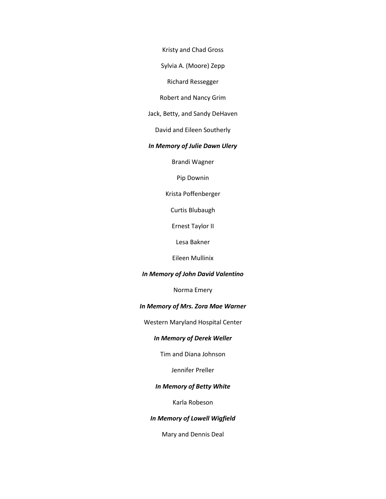Kristy and Chad Gross

Sylvia A. (Moore) Zepp

Richard Ressegger

Robert and Nancy Grim

Jack, Betty, and Sandy DeHaven

David and Eileen Southerly

## *In Memory of Julie Dawn Ulery*

Brandi Wagner

Pip Downin

Krista Poffenberger

Curtis Blubaugh

Ernest Taylor II

Lesa Bakner

Eileen Mullinix

#### *In Memory of John David Valentino*

Norma Emery

## *In Memory of Mrs. Zora Mae Warner*

Western Maryland Hospital Center

## *In Memory of Derek Weller*

Tim and Diana Johnson

Jennifer Preller

# *In Memory of Betty White*

Karla Robeson

## *In Memory of Lowell Wigfield*

Mary and Dennis Deal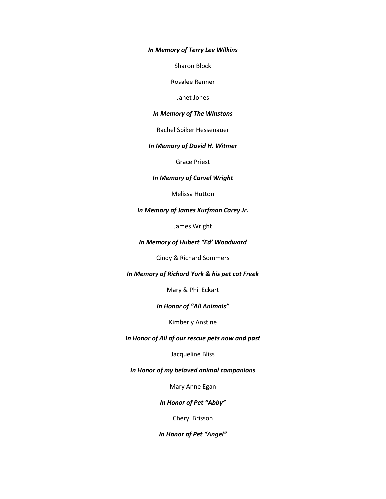*In Memory of Terry Lee Wilkins*

Sharon Block

Rosalee Renner

Janet Jones

## *In Memory of The Winstons*

Rachel Spiker Hessenauer

# *In Memory of David H. Witmer*

Grace Priest

## *In Memory of Carvel Wright*

Melissa Hutton

## *In Memory of James Kurfman Carey Jr.*

James Wright

# *In Memory of Hubert "Ed' Woodward*

Cindy & Richard Sommers

#### *In Memory of Richard York & his pet cat Freek*

Mary & Phil Eckart

#### *In Honor of "All Animals"*

Kimberly Anstine

## *In Honor of All of our rescue pets now and past*

# Jacqueline Bliss

*In Honor of my beloved animal companions*

Mary Anne Egan

# *In Honor of Pet "Abby"*

Cheryl Brisson

*In Honor of Pet "Angel"*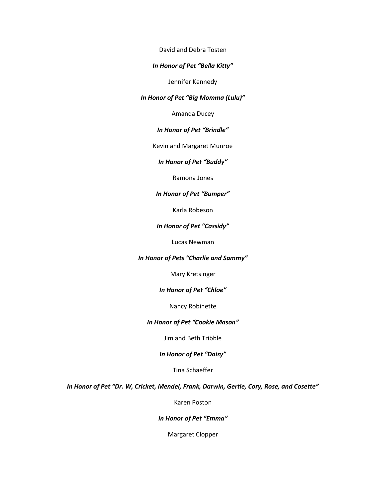David and Debra Tosten

# *In Honor of Pet "Bella Kitty"*

Jennifer Kennedy

#### *In Honor of Pet "Big Momma (Lulu)"*

Amanda Ducey

## *In Honor of Pet "Brindle"*

Kevin and Margaret Munroe

## *In Honor of Pet "Buddy"*

Ramona Jones

## *In Honor of Pet "Bumper"*

Karla Robeson

## *In Honor of Pet "Cassidy"*

Lucas Newman

## *In Honor of Pets "Charlie and Sammy"*

Mary Kretsinger

#### *In Honor of Pet "Chloe"*

Nancy Robinette

# *In Honor of Pet "Cookie Mason"*

## Jim and Beth Tribble

# *In Honor of Pet "Daisy"*

Tina Schaeffer

*In Honor of Pet "Dr. W, Cricket, Mendel, Frank, Darwin, Gertie, Cory, Rose, and Cosette"*

Karen Poston

#### *In Honor of Pet "Emma"*

Margaret Clopper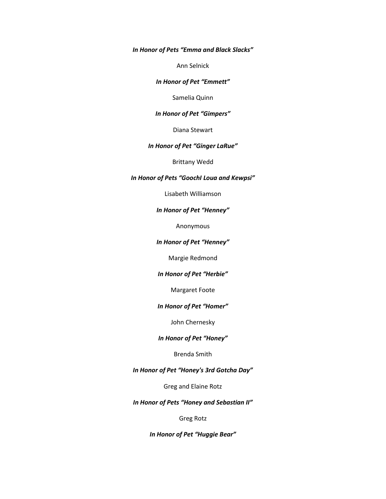*In Honor of Pets "Emma and Black Slacks"*

Ann Selnick

#### *In Honor of Pet "Emmett"*

Samelia Quinn

#### *In Honor of Pet "Gimpers"*

Diana Stewart

# *In Honor of Pet "Ginger LaRue"*

Brittany Wedd

#### *In Honor of Pets "GoochI Loua and Kewpsi"*

Lisabeth Williamson

#### *In Honor of Pet "Henney"*

Anonymous

## *In Honor of Pet "Henney"*

Margie Redmond

## *In Honor of Pet "Herbie"*

Margaret Foote

#### *In Honor of Pet "Homer"*

John Chernesky

#### *In Honor of Pet "Honey"*

Brenda Smith

# *In Honor of Pet "Honey's 3rd Gotcha Day"*

Greg and Elaine Rotz

# *In Honor of Pets "Honey and Sebastian II"*

#### Greg Rotz

*In Honor of Pet "Huggie Bear"*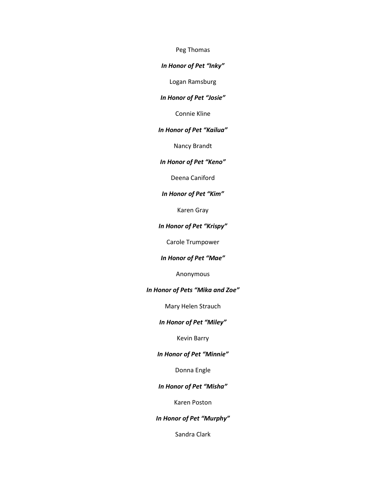Peg Thomas

#### *In Honor of Pet "Inky"*

Logan Ramsburg

# *In Honor of Pet "Josie"*

Connie Kline

#### *In Honor of Pet "Kailua"*

Nancy Brandt

## *In Honor of Pet "Keno"*

Deena Caniford

## *In Honor of Pet "Kim"*

Karen Gray

# *In Honor of Pet "Krispy"*

Carole Trumpower

## *In Honor of Pet "Mae"*

Anonymous

## *In Honor of Pets "Mika and Zoe"*

Mary Helen Strauch

# *In Honor of Pet "Miley"*

# Kevin Barry

## *In Honor of Pet "Minnie"*

Donna Engle

# *In Honor of Pet "Misha"*

Karen Poston

## *In Honor of Pet "Murphy"*

Sandra Clark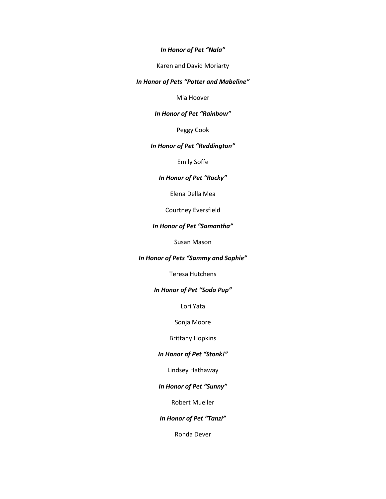#### *In Honor of Pet "Nala"*

Karen and David Moriarty

## *In Honor of Pets "Potter and Mabeline"*

Mia Hoover

## *In Honor of Pet "Rainbow"*

Peggy Cook

# *In Honor of Pet "Reddington"*

Emily Soffe

# *In Honor of Pet "Rocky"*

Elena Della Mea

Courtney Eversfield

# *In Honor of Pet "Samantha"*

Susan Mason

## *In Honor of Pets "Sammy and Sophie"*

Teresa Hutchens

## *In Honor of Pet "Soda Pup"*

Lori Yata

Sonja Moore

# Brittany Hopkins

# *In Honor of Pet "Stonk!"*

Lindsey Hathaway

# *In Honor of Pet "Sunny"*

Robert Mueller

#### *In Honor of Pet "Tanzi"*

Ronda Dever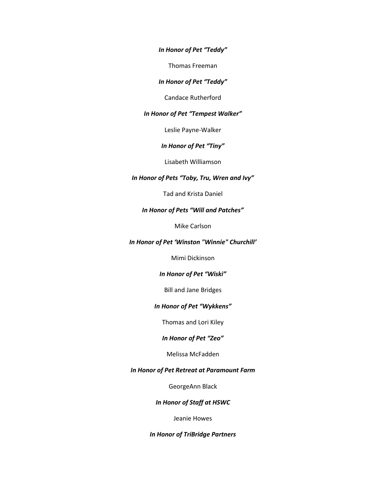*In Honor of Pet "Teddy"*

Thomas Freeman

*In Honor of Pet "Teddy"*

Candace Rutherford

#### *In Honor of Pet "Tempest Walker"*

Leslie Payne-Walker

*In Honor of Pet "Tiny"*

Lisabeth Williamson

## *In Honor of Pets "Toby, Tru, Wren and Ivy"*

Tad and Krista Daniel

## *In Honor of Pets "Will and Patches"*

Mike Carlson

#### *In Honor of Pet 'Winston "Winnie" Churchill'*

Mimi Dickinson

# *In Honor of Pet "Wiski"*

Bill and Jane Bridges

#### *In Honor of Pet "Wykkens"*

Thomas and Lori Kiley

#### *In Honor of Pet "Zeo"*

## Melissa McFadden

# *In Honor of Pet Retreat at Paramount Farm*

GeorgeAnn Black

## *In Honor of Staff at HSWC*

#### Jeanie Howes

#### *In Honor of TriBridge Partners*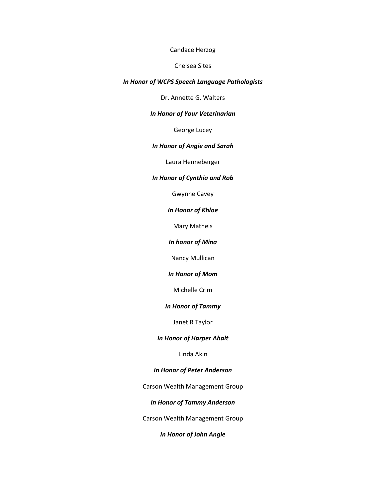#### Candace Herzog

#### Chelsea Sites

## *In Honor of WCPS Speech Language Pathologists*

Dr. Annette G. Walters

## *In Honor of Your Veterinarian*

George Lucey

# *In Honor of Angie and Sarah*

Laura Henneberger

## *In Honor of Cynthia and Rob*

Gwynne Cavey

## *In Honor of Khloe*

Mary Matheis

*In honor of Mina*

Nancy Mullican

#### *In Honor of Mom*

Michelle Crim

## *In Honor of Tammy*

Janet R Taylor

#### *In Honor of Harper Ahalt*

Linda Akin

# *In Honor of Peter Anderson*

Carson Wealth Management Group

# *In Honor of Tammy Anderson*

Carson Wealth Management Group

*In Honor of John Angle*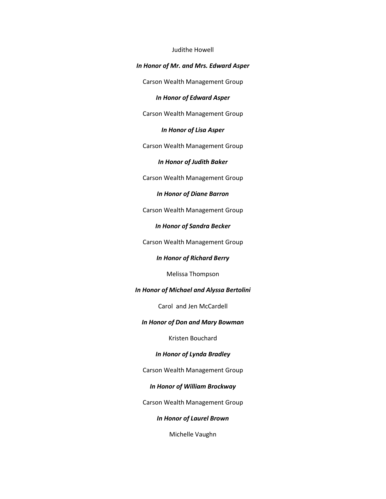#### Judithe Howell

## *In Honor of Mr. and Mrs. Edward Asper*

Carson Wealth Management Group

*In Honor of Edward Asper*

Carson Wealth Management Group

*In Honor of Lisa Asper*

Carson Wealth Management Group

*In Honor of Judith Baker*

Carson Wealth Management Group

*In Honor of Diane Barron*

Carson Wealth Management Group

*In Honor of Sandra Becker*

Carson Wealth Management Group

*In Honor of Richard Berry*

Melissa Thompson

*In Honor of Michael and Alyssa Bertolini*

Carol and Jen McCardell

## *In Honor of Don and Mary Bowman*

Kristen Bouchard

*In Honor of Lynda Bradley*

Carson Wealth Management Group

## *In Honor of William Brockway*

Carson Wealth Management Group

*In Honor of Laurel Brown*

Michelle Vaughn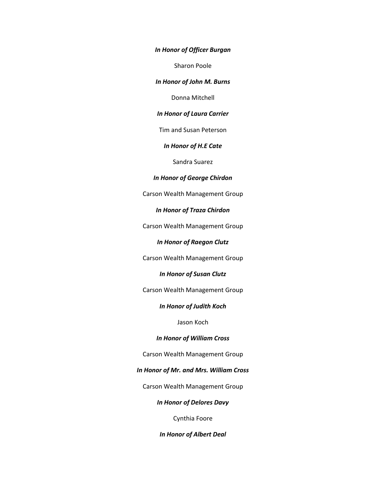*In Honor of Officer Burgan*

Sharon Poole

*In Honor of John M. Burns*

Donna Mitchell

*In Honor of Laura Carrier*

Tim and Susan Peterson

*In Honor of H.E Cate*

Sandra Suarez

#### *In Honor of George Chirdon*

Carson Wealth Management Group

*In Honor of Traza Chirdon*

Carson Wealth Management Group

*In Honor of Raegon Clutz*

Carson Wealth Management Group

*In Honor of Susan Clutz*

Carson Wealth Management Group

*In Honor of Judith Koch*

Jason Koch

## *In Honor of William Cross*

Carson Wealth Management Group

*In Honor of Mr. and Mrs. William Cross*

Carson Wealth Management Group

*In Honor of Delores Davy*

Cynthia Foore

*In Honor of Albert Deal*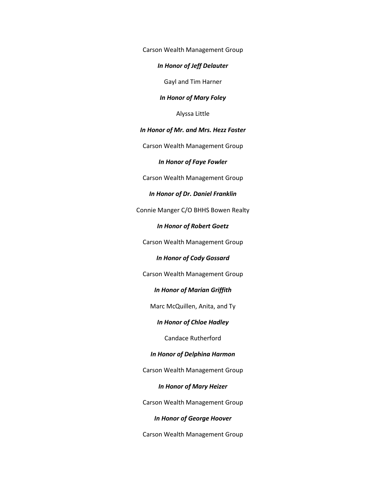Carson Wealth Management Group

## *In Honor of Jeff Delauter*

Gayl and Tim Harner

#### *In Honor of Mary Foley*

Alyssa Little

## *In Honor of Mr. and Mrs. Hezz Foster*

Carson Wealth Management Group

*In Honor of Faye Fowler*

Carson Wealth Management Group

#### *In Honor of Dr. Daniel Franklin*

Connie Manger C/O BHHS Bowen Realty

#### *In Honor of Robert Goetz*

Carson Wealth Management Group

#### *In Honor of Cody Gossard*

Carson Wealth Management Group

# *In Honor of Marian Griffith*

Marc McQuillen, Anita, and Ty

# *In Honor of Chloe Hadley*

Candace Rutherford

#### *In Honor of Delphina Harmon*

Carson Wealth Management Group

## *In Honor of Mary Heizer*

Carson Wealth Management Group

#### *In Honor of George Hoover*

Carson Wealth Management Group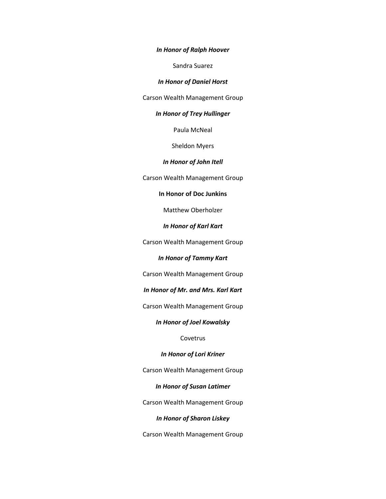*In Honor of Ralph Hoover*

Sandra Suarez

*In Honor of Daniel Horst*

Carson Wealth Management Group

## *In Honor of Trey Hullinger*

Paula McNeal

Sheldon Myers

#### *In Honor of John Itell*

Carson Wealth Management Group

## **In Honor of Doc Junkins**

Matthew Oberholzer

*In Honor of Karl Kart*

Carson Wealth Management Group

# *In Honor of Tammy Kart*

Carson Wealth Management Group

*In Honor of Mr. and Mrs. Karl Kart*

Carson Wealth Management Group

## *In Honor of Joel Kowalsky*

## Covetrus

## *In Honor of Lori Kriner*

Carson Wealth Management Group

## *In Honor of Susan Latimer*

Carson Wealth Management Group

## *In Honor of Sharon Liskey*

Carson Wealth Management Group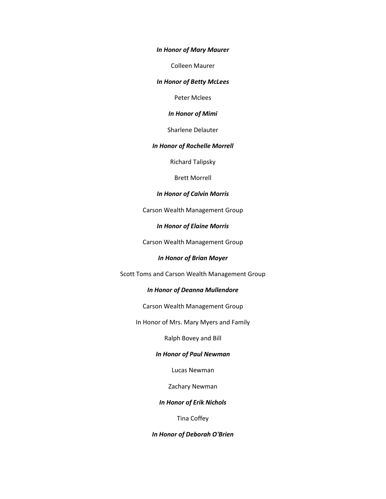*In Honor of Mary Maurer*

Colleen Maurer

*In Honor of Betty McLees*

Peter Mclees

*In Honor of Mimi*

Sharlene Delauter

#### *In Honor of Rochelle Morrell*

Richard Talipsky

Brett Morrell

## *In Honor of Calvin Morris*

Carson Wealth Management Group

#### *In Honor of Elaine Morris*

Carson Wealth Management Group

## *In Honor of Brian Moyer*

Scott Toms and Carson Wealth Management Group

#### *In Honor of Deanna Mullendore*

Carson Wealth Management Group

In Honor of Mrs. Mary Myers and Family

Ralph Bovey and Bill

#### *In Honor of Paul Newman*

Lucas Newman

Zachary Newman

## *In Honor of Erik Nichols*

Tina Coffey

*In Honor of Deborah O'Brien*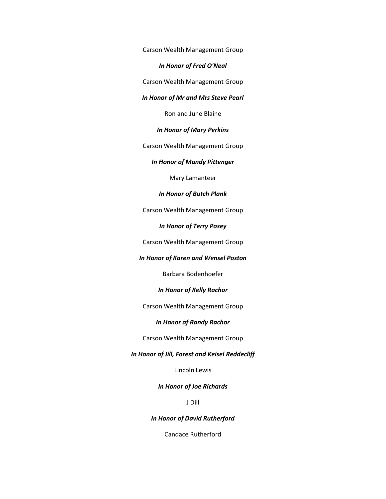Carson Wealth Management Group

*In Honor of Fred O'Neal*

Carson Wealth Management Group

*In Honor of Mr and Mrs Steve Pearl*

Ron and June Blaine

*In Honor of Mary Perkins*

Carson Wealth Management Group

*In Honor of Mandy Pittenger*

Mary Lamanteer

#### *In Honor of Butch Plank*

Carson Wealth Management Group

#### *In Honor of Terry Posey*

Carson Wealth Management Group

#### *In Honor of Karen and Wensel Poston*

Barbara Bodenhoefer

#### *In Honor of Kelly Rachor*

Carson Wealth Management Group

## *In Honor of Randy Rachor*

Carson Wealth Management Group

## *In Honor of Jill, Forest and Keisel Reddecliff*

Lincoln Lewis

# *In Honor of Joe Richards*

J Dill

#### *In Honor of David Rutherford*

Candace Rutherford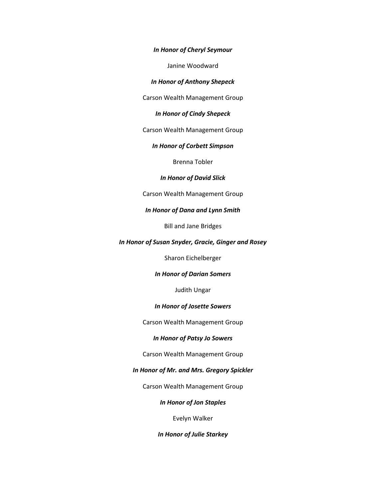#### *In Honor of Cheryl Seymour*

Janine Woodward

*In Honor of Anthony Shepeck*

Carson Wealth Management Group

# *In Honor of Cindy Shepeck*

Carson Wealth Management Group

## *In Honor of Corbett Simpson*

Brenna Tobler

#### *In Honor of David Slick*

Carson Wealth Management Group

## *In Honor of Dana and Lynn Smith*

Bill and Jane Bridges

#### *In Honor of Susan Snyder, Gracie, Ginger and Rosey*

Sharon Eichelberger

# *In Honor of Darian Somers*

Judith Ungar

## *In Honor of Josette Sowers*

Carson Wealth Management Group

#### *In Honor of Patsy Jo Sowers*

#### Carson Wealth Management Group

## *In Honor of Mr. and Mrs. Gregory Spickler*

Carson Wealth Management Group

# *In Honor of Jon Staples*

Evelyn Walker

*In Honor of Julie Starkey*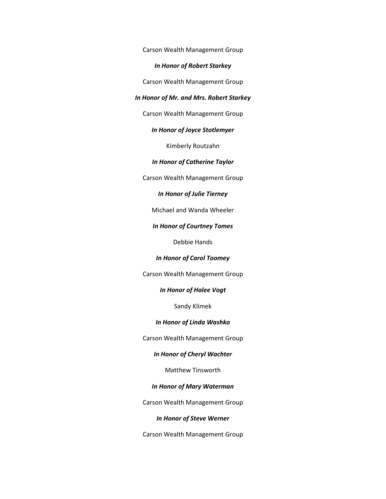Carson Wealth Management Group

## *In Honor of Robert Starkey*

Carson Wealth Management Group

#### *In Honor of Mr. and Mrs. Robert Starkey*

Carson Wealth Management Group

## *In Honor of Joyce Stotlemyer*

Kimberly Routzahn

*In Honor of Catherine Taylor*

Carson Wealth Management Group

## *In Honor of Julie Tierney*

Michael and Wanda Wheeler

#### *In Honor of Courtney Tomes*

Debbie Hands

#### *In Honor of Carol Toomey*

Carson Wealth Management Group

#### *In Honor of Halee Vogt*

Sandy Klimek

#### *In Honor of Linda Washko*

Carson Wealth Management Group

# *In Honor of Cheryl Wachter*

Matthew Tinsworth

# *In Honor of Mary Waterman*

Carson Wealth Management Group

#### *In Honor of Steve Werner*

Carson Wealth Management Group